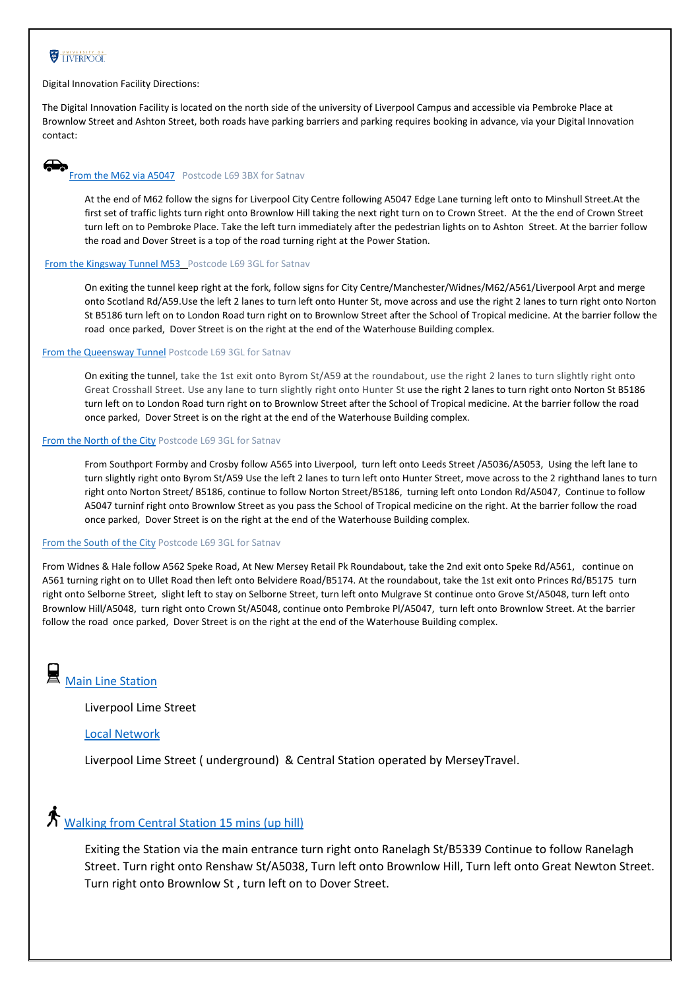## **EXPERIENCE**

Digital Innovation Facility Directions:

The Digital Innovation Facility is located on the north side of the university of Liverpool Campus and accessible via Pembroke Place at Brownlow Street and Ashton Street, both roads have parking barriers and parking requires booking in advance, via your Digital Innovation contact:

#### $\bigoplus$ [From the M62](https://www.google.co.uk/maps/dir/A5080/Harold+Cohen+Library,+Ashton+Street,+Liverpool+L69+3BX/@53.406834,-2.9507898,15z/data=!3m2!4b1!5s0x487b2119ec10f94f:0xd86f9759b77a576d!4m14!4m13!1m5!1m1!1s0x487b1e7c0a26e191:0x620af95ede100a26!2m2!1d-2.9177217!2d53.4097797!1m5!1m1!1s0x487b2119eba1bc6b:0x99d656821970d8f5!2m2!1d-2.9657227!2d53.4067731!3e0) via A5047 Postcode L69 3BX for Satnav

At the end of M62 follow the signs for Liverpool City Centre following A5047 Edge Lane turning left onto to Minshull Street.At the first set of traffic lights turn right onto Brownlow Hill taking the next right turn on to Crown Street. At the the end of Crown Street turn left on to Pembroke Place. Take the left turn immediately after the pedestrian lights on to Ashton Street. At the barrier follow the road and Dover Street is a top of the road turning right at the Power Station.

#### From the Kingsway Tunnel M53\_Postcode L69 3GL for Satnav

On exiting the tunnel keep right at the fork, follow signs for City Centre/Manchester/Widnes/M62/A561/Liverpool Arpt and merge onto Scotland Rd/A59.Use the left 2 lanes to turn left onto Hunter St, move across and use the right 2 lanes to turn right onto Norton St B5186 turn left on to London Road turn right on to Brownlow Street after the School of Tropical medicine. At the barrier follow the road once parked, Dover Street is on the right at the end of the Waterhouse Building complex.

#### [From the Queensway Tunnel](100703555) Postcode L69 3GL for Satnav

On exiting the tunnel, take the 1st exit onto Byrom St/A59 at the roundabout, use the right 2 lanes to turn slightly right onto Great Crosshall Street. Use any lane to turn slightly right onto Hunter St use the right 2 lanes to turn right onto Norton St B5186 turn left on to London Road turn right on to Brownlow Street after the School of Tropical medicine. At the barrier follow the road once parked, Dover Street is on the right at the end of the Waterhouse Building complex.

#### [From the North of the City](https://www.google.com/maps/dir/Crosby,+Liverpool/3+Brownlow+St,+Liverpool+L69+3GL/@53.4468771,-3.0423442,13z/am=t/data=!4m13!4m12!1m5!1m1!1s0x487b23612544f227:0x7f5413b095ceaf9b!2m2!1d-3.0462309!2d53.4892924!1m5!1m1!1s0x487b211780d4f891:0x6559f429d986a326!2m2!1d-2.968419!2d53.4079573) Postcode L69 3GL for Satnav

From Southport Formby and Crosby follow A565 into Liverpool, turn left onto Leeds Street /A5036/A5053, Using the left lane to turn slightly right onto Byrom St/A59 Use the left 2 lanes to turn left onto Hunter Street, move across to the 2 righthand lanes to turn right onto Norton Street/ B5186, continue to follow Norton Street/B5186, turning left onto London Rd/A5047, Continue to follow A5047 turninf right onto Brownlow Street as you pass the School of Tropical medicine on the right. At the barrier follow the road once parked, Dover Street is on the right at the end of the Waterhouse Building complex.

#### From the South of the City Postcode L69 3GL for Satnav

From Widnes & Hale follow A562 Speke Road, At New Mersey Retail Pk Roundabout, take the 2nd exit onto Speke Rd/A561, continue on A561 turning right on to Ullet Road then left onto Belvidere Road/B5174. At the roundabout, take the 1st exit onto Princes Rd/B5175 turn right onto Selborne Street, slight left to stay on Selborne Street, turn left onto Mulgrave St continue onto Grove St/A5048, turn left onto Brownlow Hill/A5048, turn right onto Crown St/A5048, continue onto Pembroke Pl/A5047, turn left onto Brownlow Street. At the barrier follow the road once parked, Dover Street is on the right at the end of the Waterhouse Building complex.

圓 [Main Line Station](https://www.networkrail.co.uk/communities/passengers/our-stations/liverpool-lime-street/)

Liverpool Lime Street

#### [Local Network](https://www.merseytravel.gov.uk/train/)

Liverpool Lime Street ( underground) & Central Station operated by MerseyTravel.

# $\mathbf{\dot{A}}$  [Walking from](https://www.google.co.uk/maps/dir/Central+station,+Liverpool/Liverpool+L69+3GL/@53.4067044,-2.9764356,17z/data=!3m1!4b1!4m14!4m13!1m5!1m1!1s0x487b21245905a587:0xc24a94b12e8be8c!2m2!1d-2.9800475!2d53.4044318!1m5!1m1!1s0x487b2117832a3f0b:0xd7bc2c3ad9754705!2m2!1d-2.9684464!2d53.406752!3e2) Central Station 15 mins (up hill)

Exiting the Station via the main entrance turn right onto Ranelagh St/B5339 Continue to follow Ranelagh Street. Turn right onto Renshaw St/A5038, Turn left onto Brownlow Hill, Turn left onto Great Newton Street. Turn right onto Brownlow St , turn left on to Dover Street.